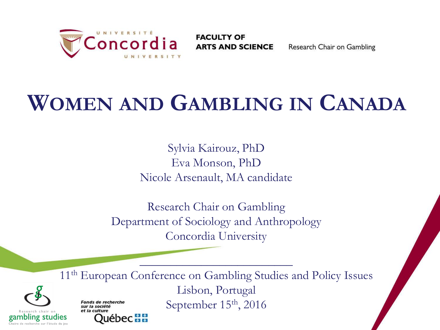

**FACULTY OF ARTS AND SCIENCE** 

Research Chair on Gambling

## **WOMEN AND GAMBLING IN CANADA**

Sylvia Kairouz, PhD Eva Monson, PhD Nicole Arsenault, MA candidate

Research Chair on Gambling Department of Sociology and Anthropology Concordia University

11<sup>th</sup> European Conference on Gambling Studies and Policy Issues Lisbon, Portugal September 15<sup>th</sup>, 2016 **Fonds de recherche** sur la société et la culture

 $\overline{\phantom{a}}$  ,  $\overline{\phantom{a}}$  ,  $\overline{\phantom{a}}$  ,  $\overline{\phantom{a}}$  ,  $\overline{\phantom{a}}$  ,  $\overline{\phantom{a}}$  ,  $\overline{\phantom{a}}$  ,  $\overline{\phantom{a}}$  ,  $\overline{\phantom{a}}$  ,  $\overline{\phantom{a}}$  ,  $\overline{\phantom{a}}$  ,  $\overline{\phantom{a}}$  ,  $\overline{\phantom{a}}$  ,  $\overline{\phantom{a}}$  ,  $\overline{\phantom{a}}$  ,  $\overline{\phantom{a}}$ 

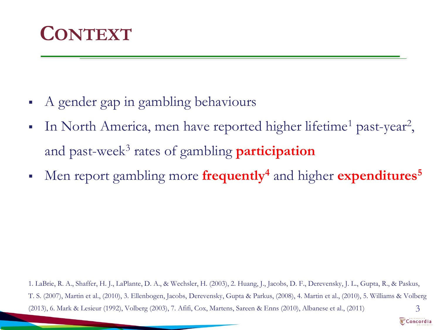

- A gender gap in gambling behaviours
- In North America, men have reported higher lifetime<sup>1</sup> past-year<sup>2</sup>, and past-week<sup>3</sup> rates of gambling **participation**
- Men report gambling more **frequently<sup>4</sup>** and higher **expenditures<sup>5</sup>**

1. LaBrie, R. A., Shaffer, H. J., LaPlante, D. A., & Wechsler, H. (2003), 2. Huang, J., Jacobs, D. F., Derevensky, J. L., Gupta, R., & Paskus, T. S. (2007), Martin et al., (2010), 3. Ellenbogen, Jacobs, Derevensky, Gupta & Parkus, (2008), 4. Martin et al., (2010), 5. Williams & Volberg (2013), 6. Mark & Lesieur (1992), Volberg (2003), 7. Afifi, Cox, Martens, Sareen & Enns (2010), Albanese et al., (2011) 3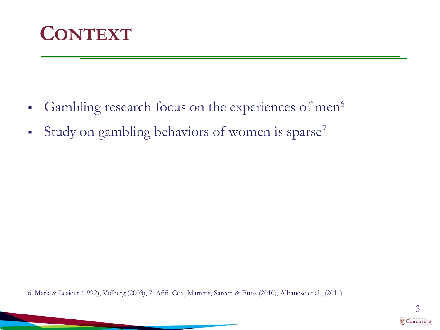

- Gambling research focus on the experiences of men $6$
- Study on gambling behaviors of women is sparse<sup>7</sup>

6. Mark & Lesieur (1992), Volberg (2003), 7. Afifi, Cox, Martens, Sareen & Enns (2010), Albanese et al., (2011)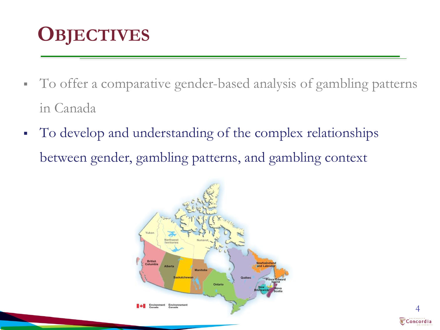### **OBJECTIVES**

- To offer a comparative gender-based analysis of gambling patterns in Canada
- To develop and understanding of the complex relationships between gender, gambling patterns, and gambling context

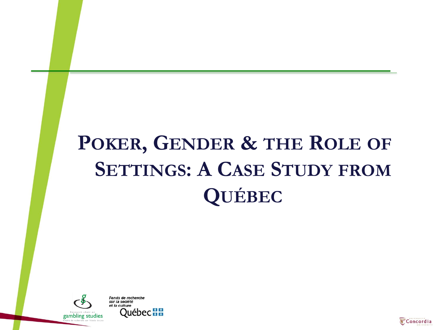# **POKER, GENDER & THE ROLE OF SETTINGS: A CASE STUDY FROM QUÉBEC**



**Fonds de recherche** sur la société of in culture **Québec HH** 

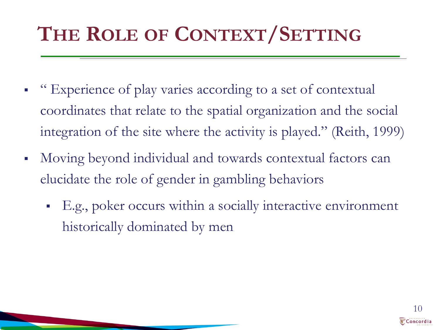## **THE ROLE OF CONTEXT/SETTING**

- "Experience of play varies according to a set of contextual coordinates that relate to the spatial organization and the social integration of the site where the activity is played." (Reith, 1999)
- Moving beyond individual and towards contextual factors can elucidate the role of gender in gambling behaviors
	- E.g., poker occurs within a socially interactive environment historically dominated by men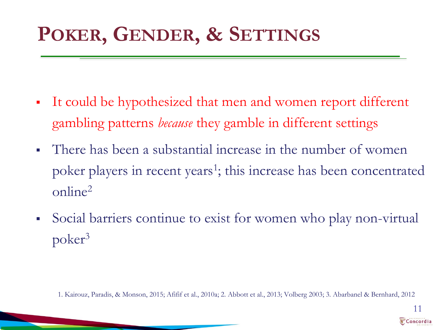### **POKER, GENDER, & SETTINGS**

- It could be hypothesized that men and women report different gambling patterns *because* they gamble in different settings
- There has been a substantial increase in the number of women poker players in recent years<sup>1</sup>; this increase has been concentrated online<sup>2</sup>
- Social barriers continue to exist for women who play non-virtual poker<sup>3</sup>

1. Kairouz, Paradis, & Monson, 2015; Afifif et al., 2010a; 2. Abbott et al., 2013; Volberg 2003; 3. Abarbanel & Bernhard, 2012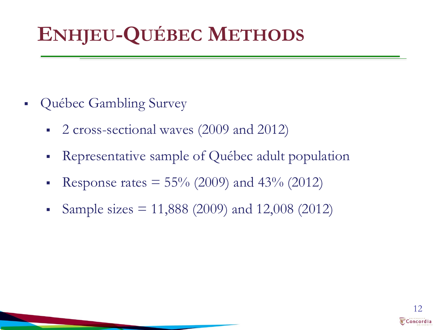## **ENHJEU-QUÉBEC METHODS**

- Québec Gambling Survey
	- 2 cross-sectional waves (2009 and 2012)
	- Representative sample of Québec adult population
	- Response rates  $= 55\%$  (2009) and 43% (2012)
	- Sample sizes = 11,888 (2009) and 12,008 (2012)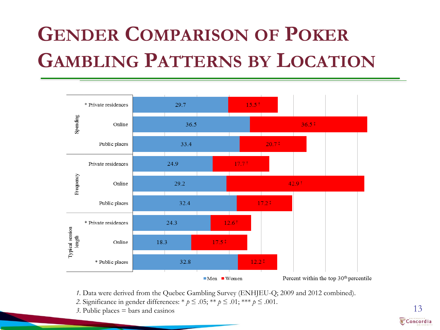## **GENDER COMPARISON OF POKER GAMBLING PATTERNS BY LOCATION**



*1.* Data were derived from the Quebec Gambling Survey (ENHJEU-Q; 2009 and 2012 combined).

- *2.* Significance in gender differences: \* *p* ≤ .05; \*\* *p* ≤ .01; \*\*\* *p* ≤ .001.
- 3. Public places  $=$  bars and casinos 13

Concordia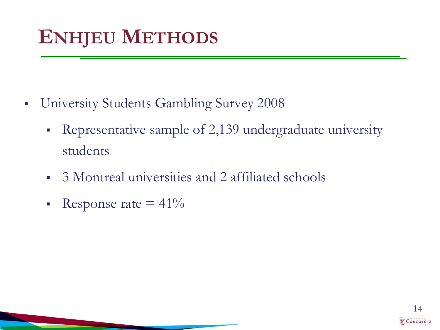## **ENHJEU METHODS**

- **University Students Gambling Survey 2008** 
	- Representative sample of 2,139 undergraduate university students
	- 3 Montreal universities and 2 affiliated schools
	- Response rate  $= 41\%$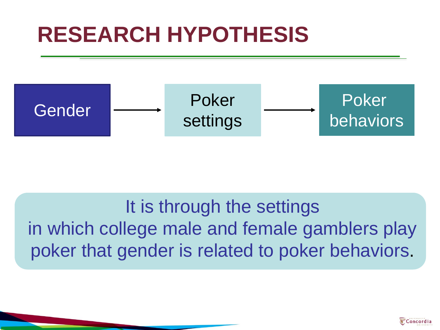## **RESEARCH HYPOTHESIS**



It is through the settings in which college male and female gamblers play poker that gender is related to poker behaviors.

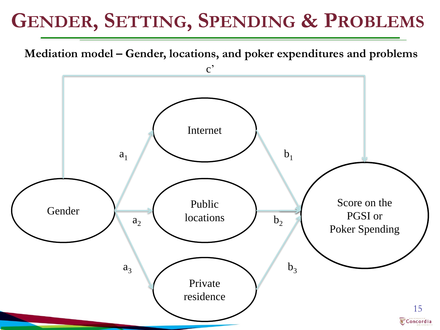### **GENDER, SETTING, SPENDING & PROBLEMS**

**Mediation model – Gender, locations, and poker expenditures and problems**

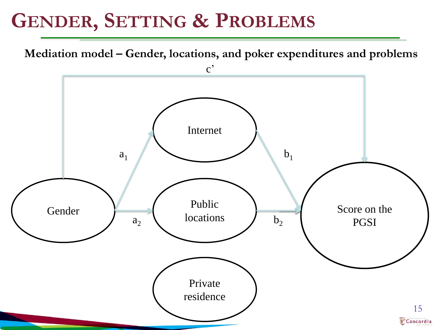#### **GENDER, SETTING & PROBLEMS**

**Mediation model – Gender, locations, and poker expenditures and problems**

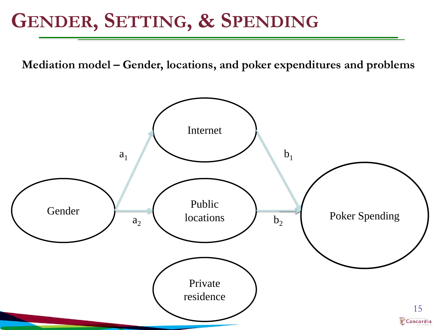#### **GENDER, SETTING, & SPENDING**

**Mediation model – Gender, locations, and poker expenditures and problems**

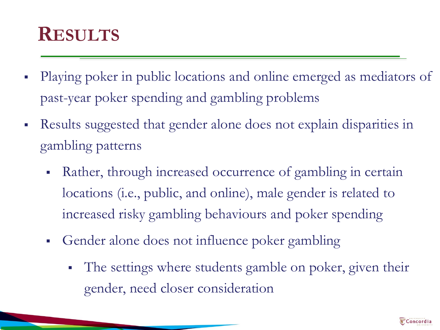#### **RESULTS**

- Playing poker in public locations and online emerged as mediators of past-year poker spending and gambling problems
- Results suggested that gender alone does not explain disparities in gambling patterns
	- Rather, through increased occurrence of gambling in certain locations (i.e., public, and online), male gender is related to increased risky gambling behaviours and poker spending
	- Gender alone does not influence poker gambling
		- The settings where students gamble on poker, given their gender, need closer consideration

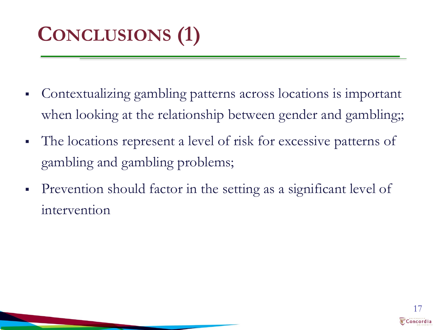# **CONCLUSIONS (1)**

- Contextualizing gambling patterns across locations is important when looking at the relationship between gender and gambling;
- The locations represent a level of risk for excessive patterns of gambling and gambling problems;
- Prevention should factor in the setting as a significant level of intervention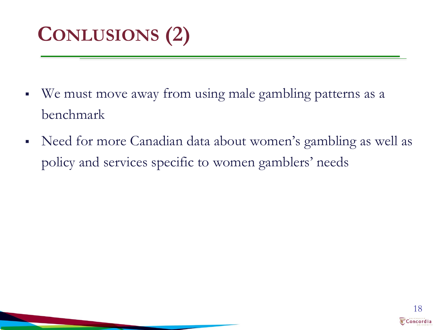## **CONLUSIONS (2)**

- We must move away from using male gambling patterns as a benchmark
- Need for more Canadian data about women's gambling as well as policy and services specific to women gamblers' needs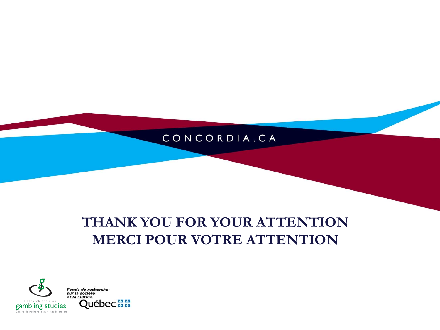#### CONCORDIA.CA

#### **THANK YOU FOR YOUR ATTENTION MERCI POUR VOTRE ATTENTION**



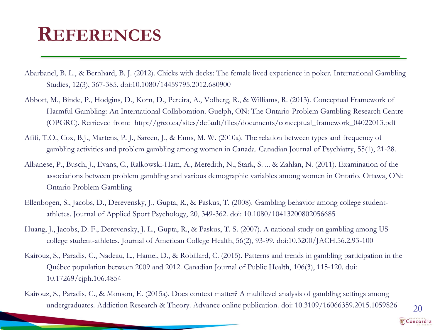#### **REFERENCES**

- Abarbanel, B. L., & Bernhard, B. J. (2012). Chicks with decks: The female lived experience in poker. International Gambling Studies, 12(3), 367-385. doi:10.1080/14459795.2012.680900
- Abbott, M., Binde, P., Hodgins, D., Korn, D., Pereira, A., Volberg, R., & Williams, R. (2013). Conceptual Framework of Harmful Gambling: An International Collaboration. Guelph, ON: The Ontario Problem Gambling Research Centre (OPGRC). Retrieved from: http://greo.ca/sites/default/files/documents/conceptual\_framework\_04022013.pdf
- Afifi, T.O., Cox, B.J., Martens, P. J., Sareen, J., & Enns, M. W. (2010a). The relation between types and frequency of gambling activities and problem gambling among women in Canada. Canadian Journal of Psychiatry, 55(1), 21-28.
- Albanese, P., Busch, J., Evans, C., Ralkowski-Ham, A., Meredith, N., Stark, S. ... & Zahlan, N. (2011). Examination of the associations between problem gambling and various demographic variables among women in Ontario. Ottawa, ON: Ontario Problem Gambling
- Ellenbogen, S., Jacobs, D., Derevensky, J., Gupta, R., & Paskus, T. (2008). Gambling behavior among college studentathletes. Journal of Applied Sport Psychology, 20, 349-362. doi: 10.1080/10413200802056685
- Huang, J., Jacobs, D. F., Derevensky, J. L., Gupta, R., & Paskus, T. S. (2007). A national study on gambling among US college student-athletes. Journal of American College Health, 56(2), 93-99. doi:10.3200/JACH.56.2.93-100
- Kairouz, S., Paradis, C., Nadeau, L., Hamel, D., & Robillard, C. (2015). Patterns and trends in gambling participation in the Québec population between 2009 and 2012. Canadian Journal of Public Health, 106(3), 115-120. doi: 10.17269/cjph.106.4854
- Kairouz, S., Paradis, C., & Monson, E. (2015a). Does context matter? A multilevel analysis of gambling settings among undergraduates. Addiction Research & Theory. Advance online publication. doi: 10.3109/16066359.2015.1059826